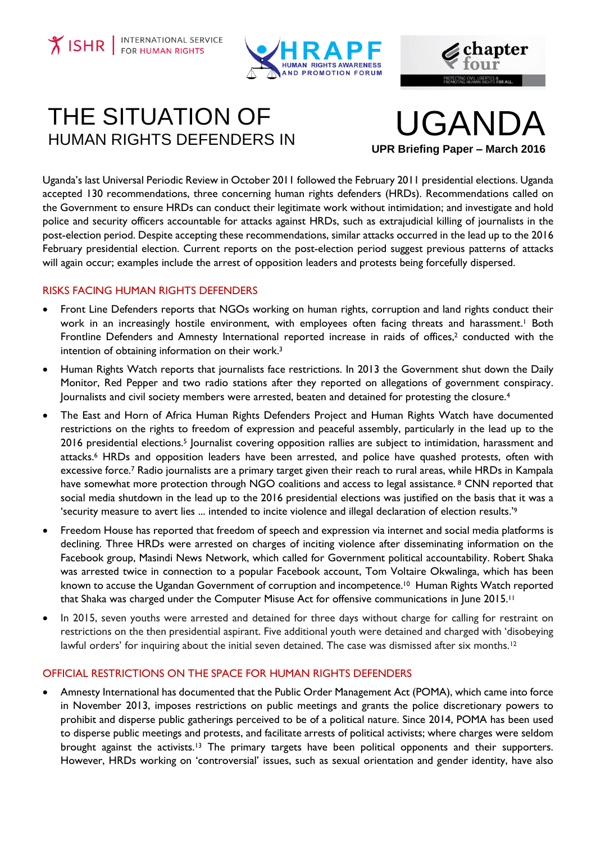**Y ISHR** FOR HUMAN RIGHTS





# THE SITUATION OF UGANDA

**UPR Briefing Paper – March 2016**

Uganda's last Universal Periodic Review in October 2011 followed the February 2011 presidential elections. Uganda accepted 130 recommendations, three concerning human rights defenders (HRDs). Recommendations called on the Government to ensure HRDs can conduct their legitimate work without intimidation; and investigate and hold police and security officers accountable for attacks against HRDs, such as extrajudicial killing of journalists in the post-election period. Despite accepting these recommendations, similar attacks occurred in the lead up to the 2016 February presidential election. Current reports on the post-election period suggest previous patterns of attacks will again occur; examples include the arrest of opposition leaders and protests being forcefully dispersed.

## RISKS FACING HUMAN RIGHTS DEFENDERS

- Front Line Defenders reports that NGOs working on human rights, corruption and land rights conduct their work in an increasingly hostile environment, with employees often facing threats and harassment. <sup>1</sup> Both Frontline Defenders and Amnesty International reported increase in raids of offices,<sup>2</sup> conducted with the intention of obtaining information on their work.<sup>3</sup>
- Human Rights Watch reports that journalists face restrictions. In 2013 the Government shut down the Daily Monitor, Red Pepper and two radio stations after they reported on allegations of government conspiracy. Journalists and civil society members were arrested, beaten and detained for protesting the closure.<sup>4</sup>
- The East and Horn of Africa Human Rights Defenders Project and Human Rights Watch have documented restrictions on the rights to freedom of expression and peaceful assembly, particularly in the lead up to the 2016 presidential elections.<sup>5</sup> Journalist covering opposition rallies are subject to intimidation, harassment and attacks.<sup>6</sup> HRDs and opposition leaders have been arrested, and police have quashed protests, often with excessive force.<sup>7</sup> Radio journalists are a primary target given their reach to rural areas, while HRDs in Kampala have somewhat more protection through NGO coalitions and access to legal assistance.<sup>8</sup> CNN reported that social media shutdown in the lead up to the 2016 presidential elections was justified on the basis that it was a 'security measure to avert lies ... intended to incite violence and illegal declaration of election results.'<sup>9</sup>
- Freedom House has reported that freedom of speech and expression via internet and social media platforms is declining. Three HRDs were arrested on charges of inciting violence after disseminating information on the Facebook group, Masindi News Network, which called for Government political accountability. Robert Shaka was arrested twice in connection to a popular Facebook account, Tom Voltaire Okwalinga, which has been known to accuse the Ugandan Government of corruption and incompetence.<sup>10</sup> Human Rights Watch reported that Shaka was charged under the Computer Misuse Act for offensive communications in June 2015.<sup>11</sup>
- In 2015, seven youths were arrested and detained for three days without charge for calling for restraint on restrictions on the then presidential aspirant. Five additional youth were detained and charged with 'disobeying lawful orders' for inquiring about the initial seven detained. The case was dismissed after six months.<sup>12</sup>

## OFFICIAL RESTRICTIONS ON THE SPACE FOR HUMAN RIGHTS DEFENDERS

 Amnesty International has documented that the Public Order Management Act (POMA), which came into force in November 2013, imposes restrictions on public meetings and grants the police discretionary powers to prohibit and disperse public gatherings perceived to be of a political nature. Since 2014, POMA has been used to disperse public meetings and protests, and facilitate arrests of political activists; where charges were seldom brought against the activists.<sup>13</sup> The primary targets have been political opponents and their supporters. However, HRDs working on 'controversial' issues, such as sexual orientation and gender identity, have also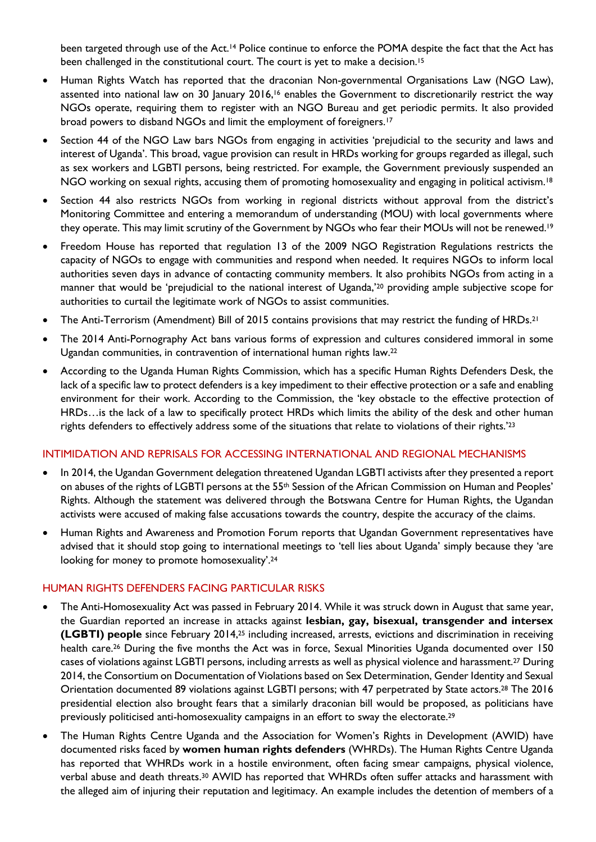been targeted through use of the Act.<sup>14</sup> Police continue to enforce the POMA despite the fact that the Act has been challenged in the constitutional court. The court is yet to make a decision.<sup>15</sup>

- Human Rights Watch has reported that the draconian Non-governmental Organisations Law (NGO Law), assented into national law on 30 January 2016,<sup>16</sup> enables the Government to discretionarily restrict the way NGOs operate, requiring them to register with an NGO Bureau and get periodic permits. It also provided broad powers to disband NGOs and limit the employment of foreigners.<sup>17</sup>
- Section 44 of the NGO Law bars NGOs from engaging in activities 'prejudicial to the security and laws and interest of Uganda'. This broad, vague provision can result in HRDs working for groups regarded as illegal, such as sex workers and LGBTI persons, being restricted. For example, the Government previously suspended an NGO working on sexual rights, accusing them of promoting homosexuality and engaging in political activism.<sup>18</sup>
- Section 44 also restricts NGOs from working in regional districts without approval from the district's Monitoring Committee and entering a memorandum of understanding (MOU) with local governments where they operate. This may limit scrutiny of the Government by NGOs who fear their MOUs will not be renewed. 19
- Freedom House has reported that regulation 13 of the 2009 NGO Registration Regulations restricts the capacity of NGOs to engage with communities and respond when needed. It requires NGOs to inform local authorities seven days in advance of contacting community members. It also prohibits NGOs from acting in a manner that would be 'prejudicial to the national interest of Uganda,'<sup>20</sup> providing ample subjective scope for authorities to curtail the legitimate work of NGOs to assist communities.
- The Anti-Terrorism (Amendment) Bill of 2015 contains provisions that may restrict the funding of HRDs.<sup>21</sup>
- The 2014 Anti-Pornography Act bans various forms of expression and cultures considered immoral in some Ugandan communities, in contravention of international human rights law.<sup>22</sup>
- According to the Uganda Human Rights Commission, which has a specific Human Rights Defenders Desk, the lack of a specific law to protect defenders is a key impediment to their effective protection or a safe and enabling environment for their work. According to the Commission, the 'key obstacle to the effective protection of HRDs…is the lack of a law to specifically protect HRDs which limits the ability of the desk and other human rights defenders to effectively address some of the situations that relate to violations of their rights.'<sup>23</sup>

### INTIMIDATION AND REPRISALS FOR ACCESSING INTERNATIONAL AND REGIONAL MECHANISMS

- In 2014, the Ugandan Government delegation threatened Ugandan LGBTI activists after they presented a report on abuses of the rights of LGBTI persons at the 55<sup>th</sup> Session of the African Commission on Human and Peoples' Rights. Although the statement was delivered through the Botswana Centre for Human Rights, the Ugandan activists were accused of making false accusations towards the country, despite the accuracy of the claims.
- Human Rights and Awareness and Promotion Forum reports that Ugandan Government representatives have advised that it should stop going to international meetings to 'tell lies about Uganda' simply because they 'are looking for money to promote homosexuality'.<sup>24</sup>

### HUMAN RIGHTS DEFENDERS FACING PARTICULAR RISKS

- The Anti-Homosexuality Act was passed in February 2014. While it was struck down in August that same year, the Guardian reported an increase in attacks against **lesbian, gay, bisexual, transgender and intersex (LGBTI) people** since February 2014,<sup>25</sup> including increased, arrests, evictions and discrimination in receiving health care.<sup>26</sup> During the five months the Act was in force, Sexual Minorities Uganda documented over 150 cases of violations against LGBTI persons, including arrests as well as physical violence and harassment.<sup>27</sup> During 2014, the Consortium on Documentation of Violations based on Sex Determination, Gender Identity and Sexual Orientation documented 89 violations against LGBTI persons; with 47 perpetrated by State actors.<sup>28</sup> The 2016 presidential election also brought fears that a similarly draconian bill would be proposed, as politicians have previously politicised anti-homosexuality campaigns in an effort to sway the electorate.<sup>29</sup>
- The Human Rights Centre Uganda and the Association for Women's Rights in Development (AWID) have documented risks faced by **women human rights defenders** (WHRDs). The Human Rights Centre Uganda has reported that WHRDs work in a hostile environment, often facing smear campaigns, physical violence, verbal abuse and death threats. <sup>30</sup> AWID has reported that WHRDs often suffer attacks and harassment with the alleged aim of injuring their reputation and legitimacy. An example includes the detention of members of a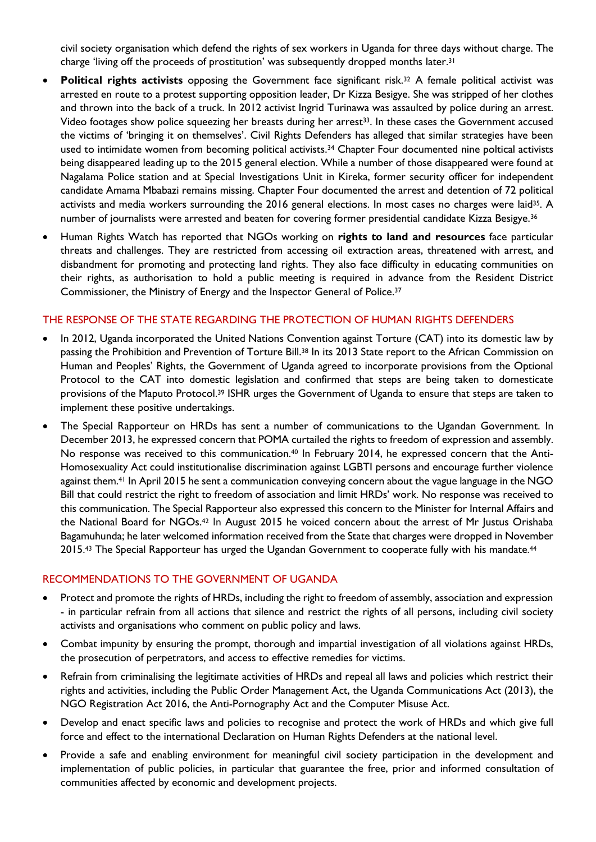civil society organisation which defend the rights of sex workers in Uganda for three days without charge. The charge 'living off the proceeds of prostitution' was subsequently dropped months later.<sup>31</sup>

- **Political rights activists** opposing the Government face significant risk.<sup>32</sup> A female political activist was arrested en route to a protest supporting opposition leader, Dr Kizza Besigye. She was stripped of her clothes and thrown into the back of a truck. In 2012 activist Ingrid Turinawa was assaulted by police during an arrest. Video footages show police squeezing her breasts during her arrest<sup>33</sup>. In these cases the Government accused the victims of 'bringing it on themselves'. Civil Rights Defenders has alleged that similar strategies have been used to intimidate women from becoming political activists.<sup>34</sup> Chapter Four documented nine poltical activists being disappeared leading up to the 2015 general election. While a number of those disappeared were found at Nagalama Police station and at Special Investigations Unit in Kireka, former security officer for independent candidate Amama Mbabazi remains missing. Chapter Four documented the arrest and detention of 72 political activists and media workers surrounding the 2016 general elections. In most cases no charges were laid<sup>35</sup>. A number of journalists were arrested and beaten for covering former presidential candidate Kizza Besigye.<sup>36</sup>
- Human Rights Watch has reported that NGOs working on **rights to land and resources** face particular threats and challenges. They are restricted from accessing oil extraction areas, threatened with arrest, and disbandment for promoting and protecting land rights. They also face difficulty in educating communities on their rights, as authorisation to hold a public meeting is required in advance from the Resident District Commissioner, the Ministry of Energy and the Inspector General of Police. 37

### THE RESPONSE OF THE STATE REGARDING THE PROTECTION OF HUMAN RIGHTS DEFENDERS

- In 2012, Uganda incorporated the United Nations Convention against Torture (CAT) into its domestic law by passing the Prohibition and Prevention of Torture Bill.<sup>38</sup> In its 2013 State report to the African Commission on Human and Peoples' Rights, the Government of Uganda agreed to incorporate provisions from the Optional Protocol to the CAT into domestic legislation and confirmed that steps are being taken to domesticate provisions of the Maputo Protocol.<sup>39</sup> ISHR urges the Government of Uganda to ensure that steps are taken to implement these positive undertakings.
- The Special Rapporteur on HRDs has sent a number of communications to the Ugandan Government. In December 2013, he expressed concern that POMA curtailed the rights to freedom of expression and assembly. No response was received to this communication.<sup>40</sup> In February 2014, he expressed concern that the Anti-Homosexuality Act could institutionalise discrimination against LGBTI persons and encourage further violence against them.<sup>41</sup> In April 2015 he sent a communication conveying concern about the vague language in the NGO Bill that could restrict the right to freedom of association and limit HRDs' work. No response was received to this communication. The Special Rapporteur also expressed this concern to the Minister for Internal Affairs and the National Board for NGOs.<sup>42</sup> In August 2015 he voiced concern about the arrest of Mr Justus Orishaba Bagamuhunda; he later welcomed information received from the State that charges were dropped in November 2015.<sup>43</sup> The Special Rapporteur has urged the Ugandan Government to cooperate fully with his mandate.<sup>44</sup>

### RECOMMENDATIONS TO THE GOVERNMENT OF UGANDA

- Protect and promote the rights of HRDs, including the right to freedom of assembly, association and expression - in particular refrain from all actions that silence and restrict the rights of all persons, including civil society activists and organisations who comment on public policy and laws.
- Combat impunity by ensuring the prompt, thorough and impartial investigation of all violations against HRDs, the prosecution of perpetrators, and access to effective remedies for victims.
- Refrain from criminalising the legitimate activities of HRDs and repeal all laws and policies which restrict their rights and activities, including the Public Order Management Act, the Uganda Communications Act (2013), the NGO Registration Act 2016, the Anti-Pornography Act and the Computer Misuse Act.
- Develop and enact specific laws and policies to recognise and protect the work of HRDs and which give full force and effect to the international Declaration on Human Rights Defenders at the national level.
- Provide a safe and enabling environment for meaningful civil society participation in the development and implementation of public policies, in particular that guarantee the free, prior and informed consultation of communities affected by economic and development projects.